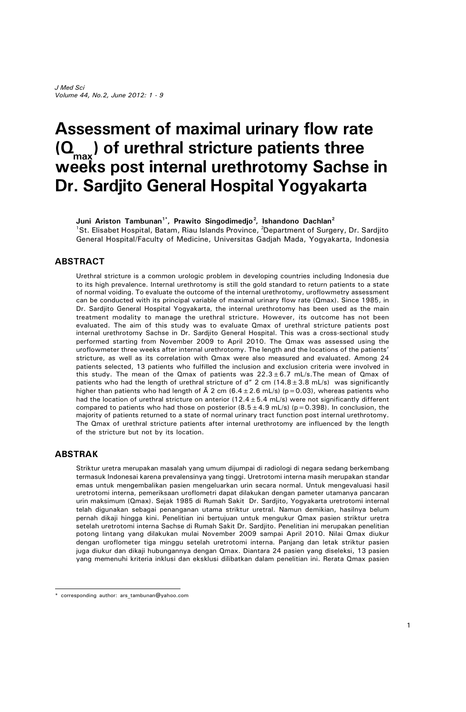# **Assessment of maximal urinary flow rate (Qmax ) of urethral stricture patients three weeks post internal urethrotomy Sachse in Dr. Sardjito General Hospital Yogyakarta**

**Juni Ariston Tambunan1\*, Prawito Singodimedjo<sup>2</sup> , Ishandono Dachlan<sup>2</sup>** <sup>1</sup>St. Elisabet Hospital, Batam, Riau Islands Province, <sup>2</sup>Department of Surgery, Dr. Sardjito General Hospital/Faculty of Medicine, Universitas Gadjah Mada, Yogyakarta, Indonesia

#### **ABSTRACT**

Urethral stricture is a common urologic problem in developing countries including Indonesia due to its high prevalence. Internal urethrotomy is still the gold standard to return patients to a state of normal voiding. To evaluate the outcome of the internal urethrotomy, uroflowmetry assessment can be conducted with its principal variable of maximal urinary flow rate (Qmax). Since 1985, in Dr. Sardjito General Hospital Yogyakarta, the internal urethrotomy has been used as the main treatment modality to manage the urethral stricture. However, its outcome has not been evaluated. The aim of this study was to evaluate Qmax of urethral stricture patients post internal urethrotomy Sachse in Dr. Sardjito General Hospital. This was a cross-sectional study performed starting from November 2009 to April 2010. The Qmax was assessed using the uroflowmeter three weeks after internal urethrotomy. The length and the locations of the patients' stricture, as well as its correlation with Qmax were also measured and evaluated. Among 24 patients selected, 13 patients who fulfilled the inclusion and exclusion criteria were involved in this study. The mean of the Qmax of patients was  $22.3\pm6.7$  mL/s. The mean of Qmax of patients who had the length of urethral stricture of  $d''$  2 cm (14.8 $\pm$ 3.8 mL/s) was significantly higher than patients who had length of  $\tilde{A}$  2 cm (6.4 ± 2.6 mL/s) (p = 0.03), whereas patients who had the location of urethral stricture on anterior (12.4 $\pm$ 5.4 mL/s) were not significantly different compared to patients who had those on posterior  $(8.5 \pm 4.9 \text{ mL/s})$  (p=0.398). In conclusion, the majority of patients returned to a state of normal urinary tract function post internal urethrotomy. The Qmax of urethral stricture patients after internal urethrotomy are influenced by the length of the stricture but not by its location.

#### **ABSTRAK**

Striktur uretra merupakan masalah yang umum dijumpai di radiologi di negara sedang berkembang termasuk Indonesai karena prevalensinya yang tinggi. Uretrotomi interna masih merupakan standar emas untuk mengembalikan pasien mengeluarkan urin secara normal. Untuk mengevaluasi hasil uretrotomi interna, pemeriksaan uroflometri dapat dilakukan dengan pameter utamanya pancaran urin maksimum (Qmax). Sejak 1985 di Rumah Sakit Dr. Sardjito, Yogyakarta uretrotomi internal telah digunakan sebagai penanganan utama striktur uretral. Namun demikian, hasilnya belum pernah dikaji hingga kini. Penelitian ini bertujuan untuk mengukur Qmax pasien striktur uretra setelah uretrotomi interna Sachse di Rumah Sakit Dr. Sardjito. Penelitian ini merupakan penelitian potong lintang yang dilakukan mulai November 2009 sampai April 2010. Nilai Qmax diukur dengan uroflometer tiga minggu setelah uretrotomi interna. Panjang dan letak striktur pasien juga diukur dan dikaji hubungannya dengan Qmax. Diantara 24 pasien yang diseleksi, 13 pasien yang memenuhi kriteria inklusi dan eksklusi dilibatkan dalam penelitian ini. Rerata Qmax pasien

<sup>\*</sup> corresponding author: ars\_tambunan@yahoo.com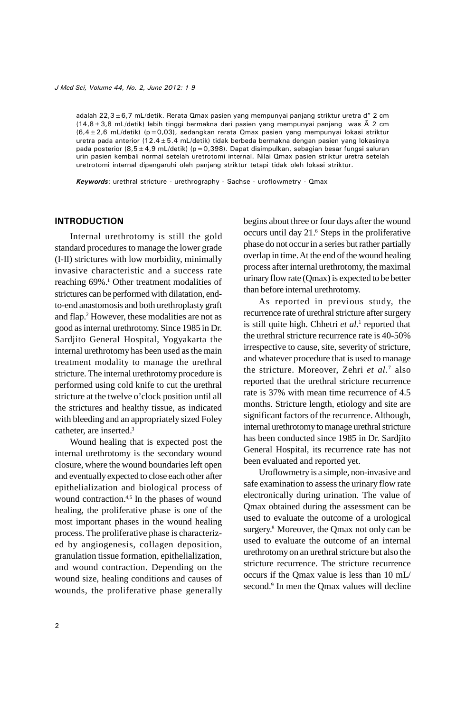adalah 22,3 $\pm$ 6,7 mL/detik. Rerata Qmax pasien yang mempunyai panjang striktur uretra d" 2 cm  $(14,8\pm3,8$  mL/detik) lebih tinggi bermakna dari pasien yang mempunyai panjang was  $\tilde{A}$  2 cm (6,4 $\pm$ 2,6 mL/detik) (p=0,03), sedangkan rerata Qmax pasien yang mempunyai lokasi striktur uretra pada anterior (12.4±5.4 mL/detik) tidak berbeda bermakna dengan pasien yang lokasinya pada posterior (8,5 $\pm$ 4,9 mL/detik) (p=0,398). Dapat disimpulkan, sebagian besar fungsi saluran urin pasien kembali normal setelah uretrotomi internal. Nilai Qmax pasien striktur uretra setelah uretrotomi internal dipengaruhi oleh panjang striktur tetapi tidak oleh lokasi striktur.

*Keywords*: urethral stricture - urethrography - Sachse - uroflowmetry - Qmax

## **INTRODUCTION**

Internal urethrotomy is still the gold standard procedures to manage the lower grade (I-II) strictures with low morbidity, minimally invasive characteristic and a success rate reaching 69%.<sup>1</sup> Other treatment modalities of strictures can be performed with dilatation, endto-end anastomosis and both urethroplasty graft and flap.<sup>2</sup> However, these modalities are not as good as internal urethrotomy. Since 1985 in Dr. Sardjito General Hospital, Yogyakarta the internal urethrotomy has been used as the main treatment modality to manage the urethral stricture. The internal urethrotomy procedure is performed using cold knife to cut the urethral stricture at the twelve o'clock position until all the strictures and healthy tissue, as indicated with bleeding and an appropriately sized Foley catheter, are inserted.<sup>3</sup>

Wound healing that is expected post the internal urethrotomy is the secondary wound closure, where the wound boundaries left open and eventually expected to close each other after epithelialization and biological process of wound contraction.<sup>4,5</sup> In the phases of wound healing, the proliferative phase is one of the most important phases in the wound healing process. The proliferative phase is characterized by angiogenesis, collagen deposition, granulation tissue formation, epithelialization, and wound contraction. Depending on the wound size, healing conditions and causes of wounds, the proliferative phase generally

begins about three or four days after the wound occurs until day 21.<sup>6</sup> Steps in the proliferative phase do not occur in a series but rather partially overlap in time.At the end of the wound healing process after internal urethrotomy, the maximal urinary flow rate (Qmax) is expected to be better than before internal urethrotomy.

As reported in previous study, the recurrence rate of urethral stricture after surgery is still quite high. Chhetri *et al.*<sup>1</sup> reported that the urethral stricture recurrence rate is 40-50% irrespective to cause, site, severity of stricture, and whatever procedure that is used to manage the stricture. Moreover, Zehri *et al.*<sup>7</sup> also reported that the urethral stricture recurrence rate is 37% with mean time recurrence of 4.5 months. Stricture length, etiology and site are significant factors of the recurrence. Although, internal urethrotomy to manage urethral stricture has been conducted since 1985 in Dr. Sardjito General Hospital, its recurrence rate has not been evaluated and reported yet.

Uroflowmetry is a simple, non-invasive and safe examination to assess the urinary flow rate electronically during urination. The value of Qmax obtained during the assessment can be used to evaluate the outcome of a urological surgery.<sup>8</sup> Moreover, the Qmax not only can be used to evaluate the outcome of an internal urethrotomy on an urethral stricture but also the stricture recurrence. The stricture recurrence occurs if the Qmax value is less than 10 mL/ second.<sup>9</sup> In men the Qmax values will decline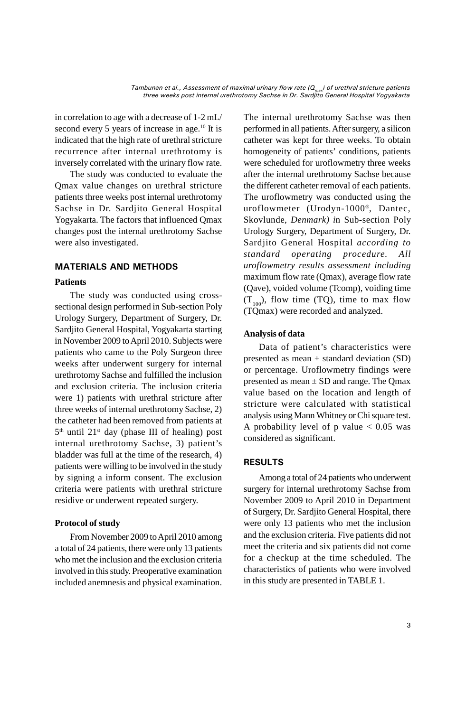in correlation to age with a decrease of 1-2 mL/ second every 5 years of increase in age.<sup>10</sup> It is indicated that the high rate of urethral stricture recurrence after internal urethrotomy is inversely correlated with the urinary flow rate.

The study was conducted to evaluate the Qmax value changes on urethral stricture patients three weeks post internal urethrotomy Sachse in Dr. Sardjito General Hospital Yogyakarta. The factors that influenced Qmax changes post the internal urethrotomy Sachse were also investigated.

## **MATERIALS AND METHODS**

## **Patients**

The study was conducted using crosssectional design performed in Sub-section Poly Urology Surgery, Department of Surgery, Dr. Sardjito General Hospital, Yogyakarta starting in November 2009 to April 2010. Subjects were patients who came to the Poly Surgeon three weeks after underwent surgery for internal urethrotomy Sachse and fulfilled the inclusion and exclusion criteria. The inclusion criteria were 1) patients with urethral stricture after three weeks of internal urethrotomy Sachse, 2) the catheter had been removed from patients at 5 th until 21st day (phase III of healing) post internal urethrotomy Sachse, 3) patient's bladder was full at the time of the research, 4) patients were willing to be involved in the study by signing a inform consent. The exclusion criteria were patients with urethral stricture residive or underwent repeated surgery.

## **Protocol of study**

From November 2009 to April 2010 among a total of 24 patients, there were only 13 patients who met the inclusion and the exclusion criteria involved in this study. Preoperative examination included anemnesis and physical examination.

The internal urethrotomy Sachse was then performed in all patients.After surgery, a silicon catheter was kept for three weeks. To obtain homogeneity of patients' conditions, patients were scheduled for uroflowmetry three weeks after the internal urethrotomy Sachse because the different catheter removal of each patients. The uroflowmetry was conducted using the uroflowmeter (Urodyn-1000® , Dantec, Skovlunde, *Denmark) i*n Sub-section Poly Urology Surgery, Department of Surgery, Dr. Sardjito General Hospital *according to standard operating procedure. All uroflowmetry results assessment including* maximum flow rate (Qmax), average flow rate (Qave), voided volume (Tcomp), voiding time  $(T_{100})$ , flow time (TQ), time to max flow (TQmax) were recorded and analyzed.

## **Analysis of data**

Data of patient's characteristics were presented as mean  $\pm$  standard deviation (SD) or percentage. Uroflowmetry findings were presented as mean  $\pm$  SD and range. The Qmax value based on the location and length of stricture were calculated with statistical analysis using Mann Whitney or Chi square test. A probability level of  $p$  value  $< 0.05$  was considered as significant.

## **RESULTS**

Among a total of 24 patients who underwent surgery for internal urethrotomy Sachse from November 2009 to April 2010 in Department of Surgery, Dr. Sardjito General Hospital, there were only 13 patients who met the inclusion and the exclusion criteria. Five patients did not meet the criteria and six patients did not come for a checkup at the time scheduled. The characteristics of patients who were involved in this study are presented in TABLE 1.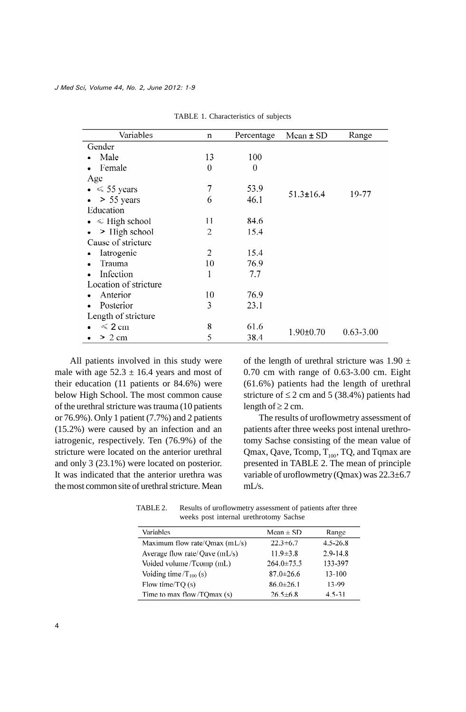| Variables               | $\mathbf n$    | Percentage       | Mean ± SD       | Range         |
|-------------------------|----------------|------------------|-----------------|---------------|
| Gender                  |                |                  |                 |               |
| Male                    | 13             | 100              |                 |               |
| Female                  | $\overline{0}$ | $\boldsymbol{0}$ |                 |               |
| Age                     |                |                  |                 |               |
| $\bullet \leq 55$ years | 7              | 53.9             |                 | 19-77         |
| > 55 years              | 6              | 46.1             | $51.3 \pm 16.4$ |               |
| Education               |                |                  |                 |               |
| $\leq$ High school      | 11             | 84.6             |                 |               |
| > High school           | $\overline{2}$ | 15.4             |                 |               |
| Cause of stricture      |                |                  |                 |               |
| Iatrogenic              | 2              | 15.4             |                 |               |
| Trauma                  | 10             | 76.9             |                 |               |
| Infection               | 1              | 7.7              |                 |               |
| Location of stricture   |                |                  |                 |               |
| Anterior                | 10             | 76.9             |                 |               |
| Posterior               | 3              | 23.1             |                 |               |
| Length of stricture     |                |                  |                 |               |
| $\leqslant$ 2 cm        | 8              | 61.6             |                 | $0.63 - 3.00$ |
| $> 2$ cm                | 5              | 38.4             | $1.90 \pm 0.70$ |               |

TABLE 1. Characteristics of subjects

All patients involved in this study were male with age  $52.3 \pm 16.4$  years and most of their education (11 patients or 84.6%) were below High School. The most common cause of the urethral stricture was trauma (10 patients or 76.9%). Only 1 patient (7.7%) and 2 patients (15.2%) were caused by an infection and an iatrogenic, respectively. Ten (76.9%) of the stricture were located on the anterior urethral and only 3 (23.1%) were located on posterior. It was indicated that the anterior urethra was the most common site of urethral stricture. Mean of the length of urethral stricture was  $1.90 \pm$ 0.70 cm with range of 0.63-3.00 cm. Eight (61.6%) patients had the length of urethral stricture of  $\leq$  2 cm and 5 (38.4%) patients had length of  $\geq 2$  cm.

The results of uroflowmetry assessment of patients after three weeks post intenal urethrotomy Sachse consisting of the mean value of Qmax, Qave, Tcomp,  $T_{100}$ , TQ, and Tqmax are presented in TABLE 2. The mean of principle variable of uroflowmetry (Qmax) was 22.3±6.7 mL/s.

TABLE 2. Results of uroflowmetry assessment of patients after three weeks post internal urethrotomy Sachse

| Variables                         | Mean $\pm$ SD    | Range        |
|-----------------------------------|------------------|--------------|
| Maximum flow rate/Qmax (mL/s)     | $22.3 \pm 6.7$   | $4.5 - 26.8$ |
| Average flow rate/ $Q$ ave (mL/s) | $11.9 \pm 3.8$   | $2.9 - 14.8$ |
| Voided volume/Tcomp (mL)          | $264.0 \pm 75.5$ | 133-397      |
| Voiding time/ $T_{100}$ (s)       | $87.0 \pm 26.6$  | $13 - 100$   |
| Flow time/ $TQ(s)$                | $86.0 \pm 26.1$  | 13-99        |
| Time to max flow/TQmax (s)        | $26.5 \pm 6.8$   | $4.5 - 31$   |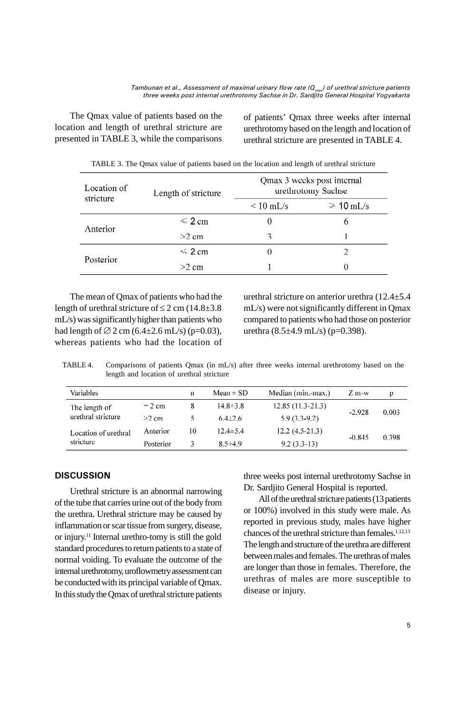The Qmax value of patients based on the location and length of urethral stricture are presented in TABLE 3, while the comparisons

of patients' Qmax three weeks after internal urethrotomy based on the length and location of urethral stricture are presented in TABLE 4.

| Location of<br>stricture | Length of stricture | Qmax 3 weeks post internal<br>urethrotomy Sachse |                |  |
|--------------------------|---------------------|--------------------------------------------------|----------------|--|
|                          |                     | $\rm < 10 \;mL/s$                                | $\geq 10$ mL/s |  |
| Anterior                 | $\leq 2$ cm         |                                                  | <sup>6</sup>   |  |
|                          | $>2$ cm             | 3                                                |                |  |
| Posterior                | $\leq 2$ cm         |                                                  |                |  |
|                          | $>2$ cm             |                                                  |                |  |

TABLE 3. The Qmax value of patients based on the location and length of urethral stricture

The mean of Qmax of patients who had the length of urethral stricture of  $\leq$  2 cm (14.8 $\pm$ 3.8) mL/s) was significantlyhigher than patients who had length of  $\varnothing$  2 cm (6.4 $\pm$ 2.6 mL/s) (p=0.03), whereas patients who had the location of

urethral stricture on anterior urethra (12.4±5.4 mL/s) were not significantly different in Qmax compared to patients who had those on posterior urethra  $(8.5\pm4.9 \text{ mL/s})$  (p=0.398).

TABLE 4. Comparisons of patients Qmax (in mL/s) after three weeks internal urethrotomy based on the length and location of urethral stricture

| Variables                           |           | n  | Mean $\pm$ SD  | Median (min.-max.) | $Z$ m-w  | p     |
|-------------------------------------|-----------|----|----------------|--------------------|----------|-------|
| The length of<br>urethral stricture | $= 2$ cm  | 8  | $14.8 \pm 3.8$ | $12.85(11.3-21.3)$ | $-2.928$ | 0.003 |
|                                     | $>2$ cm   |    | $6.4\pm2.6$    | $5.9(3.3-9.2)$     |          |       |
| Location of urethral<br>stricture   | Anterior  | 10 | $12.4 \pm 5.4$ | $12.2(4.5-21.3)$   | $-0.845$ | 0.398 |
|                                     | Posterior |    | $8.5 \pm 4.9$  | $9.2(3.3-13)$      |          |       |

## **DISCUSSION**

Urethral stricture is an abnormal narrowing of the tube that carries urine out of the body from the urethra. Urethral stricture may be caused by inflammation or scar tissue from surgery, disease, or injury.<sup>11</sup> Internal urethro-tomy is still the gold standard procedures to return patients to a state of normal voiding. To evaluate the outcome of the internal urethrotomy, uroflowmetry assessment can be conducted with its principal variable of Qmax. In this study the Qmax of urethral stricture patients

three weeks post internal urethrotomy Sachse in Dr. Sardjito General Hospital is reported.

All of the urethral stricture patients (13 patients or 100%) involved in this study were male. As reported in previous study, males have higher chances of the urethral stricture than females.<sup>1,12,13</sup> The length and structure of the urethra are different between males and females. The urethras of males are longer than those in females. Therefore, the urethras of males are more susceptible to disease or injury.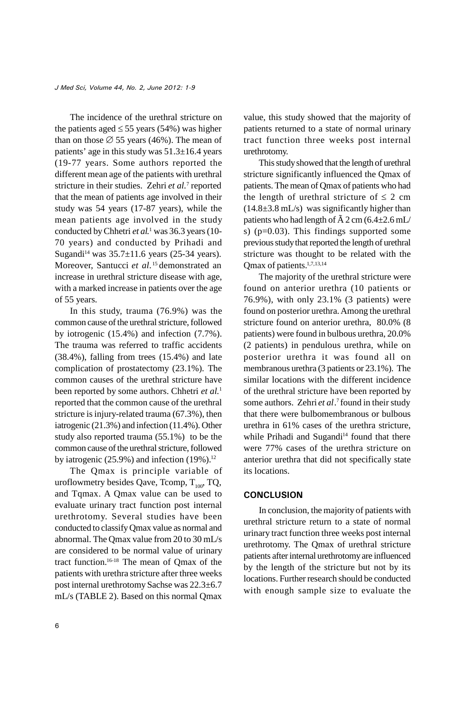*J Med Sci, Volume 44, No. 2, June 2012: 1-9*

The incidence of the urethral stricture on the patients aged  $\leq$  55 years (54%) was higher than on those  $\varnothing$  55 years (46%). The mean of patients' age in this study was  $51.3\pm16.4$  years (19-77 years. Some authors reported the different mean age of the patients with urethral stricture in their studies. Zehri *et al.*<sup>7</sup> reported that the mean of patients age involved in their study was 54 years (17-87 years), while the mean patients age involved in the study conducted by Chhetri *et al*. <sup>1</sup> was 36.3 years (10- 70 years) and conducted by Prihadi and Sugandi<sup>14</sup> was  $35.7\pm11.6$  years (25-34 years). Moreover, Santucci *et al*. <sup>15</sup> demonstrated an increase in urethral stricture disease with age, with a marked increase in patients over the age of 55 years.

In this study, trauma (76.9%) was the common cause of the urethral stricture, followed by iotrogenic (15.4%) and infection (7.7%). The trauma was referred to traffic accidents (38.4%), falling from trees (15.4%) and late complication of prostatectomy (23.1%). The common causes of the urethral stricture have been reported by some authors. Chhetri *et al.*<sup>1</sup> reported that the common cause of the urethral stricture is injury-related trauma (67.3%), then iatrogenic (21.3%) and infection (11.4%). Other study also reported trauma (55.1%) to be the common cause of the urethral stricture, followed by iatrogenic  $(25.9\%)$  and infection  $(19\%)$ .<sup>12</sup>

The Qmax is principle variable of uroflowmetry besides Qave, Tcomp,  $T_{100}$ , TQ, and Tqmax. A Qmax value can be used to evaluate urinary tract function post internal urethrotomy. Several studies have been conducted to classify Qmax value as normal and abnormal. The Qmax value from 20 to 30 mL/s are considered to be normal value of urinary tract function.16-18 The mean of Qmax of the patients with urethra stricture after three weeks post internal urethrotomy Sachse was 22.3±6.7 mL/s (TABLE 2). Based on this normal Qmax

value, this study showed that the majority of patients returned to a state of normal urinary tract function three weeks post internal urethrotomy.

This studyshowed that the length of urethral stricture significantly influenced the Qmax of patients. The mean of Qmax of patients who had the length of urethral stricture of  $\leq 2$  cm  $(14.8\pm3.8 \text{ mL/s})$  was significantly higher than patients who had length of  $\overline{A}$  2 cm (6.4 $\pm$ 2.6 mL/ s) (p=0.03). This findings supported some previous study that reported the length of urethral stricture was thought to be related with the Qmax of patients.1,7,13,14

The majority of the urethral stricture were found on anterior urethra (10 patients or 76.9%), with only 23.1% (3 patients) were found on posterior urethra. Among the urethral stricture found on anterior urethra, 80.0% (8 patients) were found in bulbous urethra, 20.0% (2 patients) in pendulous urethra, while on posterior urethra it was found all on membranous urethra (3 patients or 23.1%). The similar locations with the different incidence of the urethral stricture have been reported by some authors. Zehri *et al*. 7 found in their study that there were bulbomembranous or bulbous urethra in 61% cases of the urethra stricture, while Prihadi and Sugandi<sup>14</sup> found that there were 77% cases of the urethra stricture on anterior urethra that did not specifically state its locations.

## **CONCLUSION**

In conclusion, the majority of patients with urethral stricture return to a state of normal urinary tract function three weeks post internal urethrotomy. The Qmax of urethral stricture patients after internal urethrotomyare influenced by the length of the stricture but not by its locations. Further research should be conducted with enough sample size to evaluate the